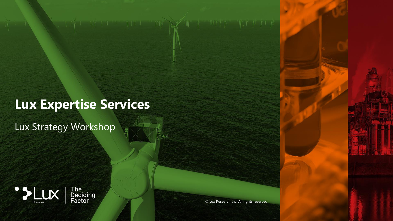# **Lux Expertise Services**

 $\mathbb{H}^1$   $\mathbb{R}^2$ 

Lux Strategy Workshop





© Lux Research Inc. All rights reserved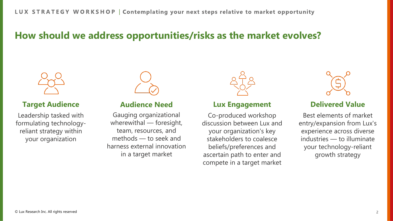## **How should we address opportunities/risks as the market evolves?**



## **Target Audience**

Leadership tasked with formulating technologyreliant strategy within your organization



## **Audience Need**

Gauging organizational wherewithal — foresight, team, resources, and methods — to seek and harness external innovation in a target market



## **Lux Engagement**

Co-produced workshop discussion between Lux and your organization's key stakeholders to coalesce beliefs/preferences and ascertain path to enter and compete in a target market



## **Delivered Value**

Best elements of market entry/expansion from Lux's experience across diverse industries — to illuminate your technology-reliant growth strategy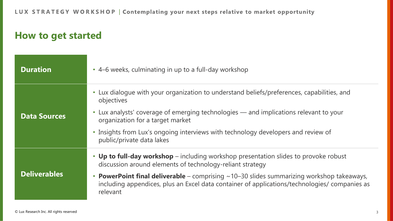LUX STRATEGY WORKSHOP | Contemplating your next steps relative to market opportunity

## **How to get started**

| <b>Duration</b>     | • 4–6 weeks, culminating in up to a full-day workshop                                                                                                                                                                                                                                                                                                                    |
|---------------------|--------------------------------------------------------------------------------------------------------------------------------------------------------------------------------------------------------------------------------------------------------------------------------------------------------------------------------------------------------------------------|
| <b>Data Sources</b> | • Lux dialogue with your organization to understand beliefs/preferences, capabilities, and<br>objectives<br>• Lux analysts' coverage of emerging technologies — and implications relevant to your<br>organization for a target market<br>• Insights from Lux's ongoing interviews with technology developers and review of<br>public/private data lakes                  |
| <b>Deliverables</b> | • Up to full-day workshop – including workshop presentation slides to provoke robust<br>discussion around elements of technology-reliant strategy<br>• <b>PowerPoint final deliverable</b> – comprising $\sim$ 10–30 slides summarizing workshop takeaways,<br>including appendices, plus an Excel data container of applications/technologies/ companies as<br>relevant |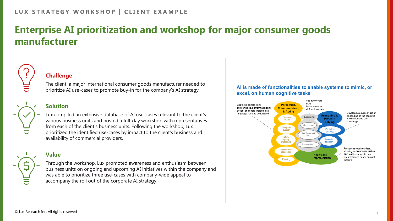## **Enterprise AI prioritization and workshop for major consumer goods manufacturer**



### **Challenge**

The client, a major international consumer goods manufacturer needed to prioritize AI use-cases to promote buy-in for the company's AI strategy.

## **Solution**

Lux compiled an extensive database of AI use-cases relevant to the client's various business units and hosted a full-day workshop with representatives from each of the client's business units. Following the workshop, Lux prioritized the identified use-cases by impact to the client's business and availability of commercial providers.

## **Value**



Through the workshop, Lux promoted awareness and enthusiasm between business units on ongoing and upcoming AI initiatives within the company and was able to prioritize three use-cases with company-wide appeal to accompany the roll out of the corporate AI strategy.

### Al is made of functionalities to enable systems to mimic, or excel, on human cognitive tasks